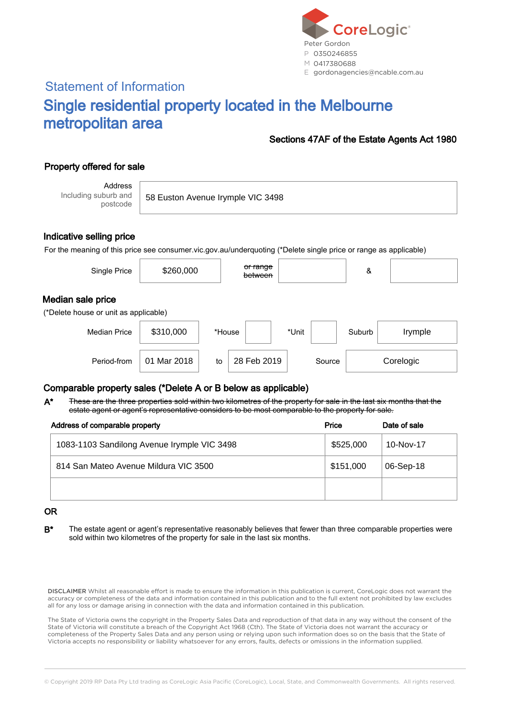

# Statement of Information Single residential property located in the Melbourne metropolitan area

#### Sections 47AF of the Estate Agents Act 1980

## Property offered for sale

Address Including suburb and postcode

58 Euston Avenue Irymple VIC 3498

#### Indicative selling price

For the meaning of this price see consumer.vic.gov.au/underquoting (\*Delete single price or range as applicable)

| Single Price                                               | \$260,000   |        | or range<br>between |        | &      |           |
|------------------------------------------------------------|-------------|--------|---------------------|--------|--------|-----------|
| Median sale price<br>(*Delete house or unit as applicable) |             |        |                     |        |        |           |
| <b>Median Price</b>                                        | \$310,000   | *House |                     | *Unit  | Suburb | Irymple   |
| Period-from                                                | 01 Mar 2018 | to     | 28 Feb 2019         | Source |        | Corelogic |

### Comparable property sales (\*Delete A or B below as applicable)

These are the three properties sold within two kilometres of the property for sale in the last six months that the estate agent or agent's representative considers to be most comparable to the property for sale. A\*

| Address of comparable property              | Price     | Date of sale |  |
|---------------------------------------------|-----------|--------------|--|
| 1083-1103 Sandilong Avenue Irymple VIC 3498 | \$525,000 | 10-Nov-17    |  |
| 814 San Mateo Avenue Mildura VIC 3500       | \$151,000 | 06-Sep-18    |  |
|                                             |           |              |  |

#### OR

B<sup>\*</sup> The estate agent or agent's representative reasonably believes that fewer than three comparable properties were sold within two kilometres of the property for sale in the last six months.

DISCLAIMER Whilst all reasonable effort is made to ensure the information in this publication is current, CoreLogic does not warrant the accuracy or completeness of the data and information contained in this publication and to the full extent not prohibited by law excludes all for any loss or damage arising in connection with the data and information contained in this publication.

The State of Victoria owns the copyright in the Property Sales Data and reproduction of that data in any way without the consent of the State of Victoria will constitute a breach of the Copyright Act 1968 (Cth). The State of Victoria does not warrant the accuracy or completeness of the Property Sales Data and any person using or relying upon such information does so on the basis that the State of Victoria accepts no responsibility or liability whatsoever for any errors, faults, defects or omissions in the information supplied.